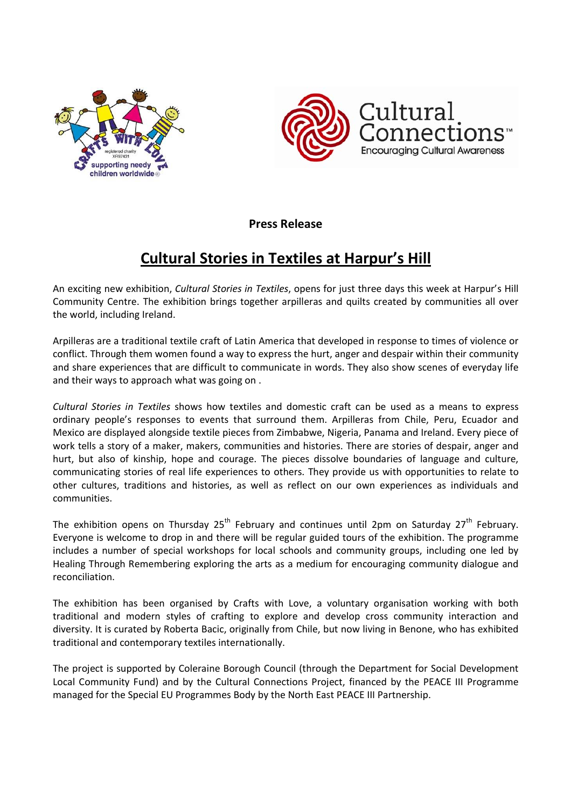



**Press Release** 

## **Cultural Stories in Textiles at Harpur's Hill**

An exciting new exhibition, *Cultural Stories in Textiles*, opens for just three days this week at Harpur's Hill Community Centre. The exhibition brings together arpilleras and quilts created by communities all over the world, including Ireland.

Arpilleras are a traditional textile craft of Latin America that developed in response to times of violence or conflict. Through them women found a way to express the hurt, anger and despair within their community and share experiences that are difficult to communicate in words. They also show scenes of everyday life and their ways to approach what was going on .

*Cultural Stories in Textiles* shows how textiles and domestic craft can be used as a means to express ordinary people's responses to events that surround them. Arpilleras from Chile, Peru, Ecuador and Mexico are displayed alongside textile pieces from Zimbabwe, Nigeria, Panama and Ireland. Every piece of work tells a story of a maker, makers, communities and histories. There are stories of despair, anger and hurt, but also of kinship, hope and courage. The pieces dissolve boundaries of language and culture, communicating stories of real life experiences to others. They provide us with opportunities to relate to other cultures, traditions and histories, as well as reflect on our own experiences as individuals and communities.

The exhibition opens on Thursday  $25<sup>th</sup>$  February and continues until 2pm on Saturday  $27<sup>th</sup>$  February. Everyone is welcome to drop in and there will be regular guided tours of the exhibition. The programme includes a number of special workshops for local schools and community groups, including one led by Healing Through Remembering exploring the arts as a medium for encouraging community dialogue and reconciliation.

The exhibition has been organised by Crafts with Love, a voluntary organisation working with both traditional and modern styles of crafting to explore and develop cross community interaction and diversity. It is curated by Roberta Bacic, originally from Chile, but now living in Benone, who has exhibited traditional and contemporary textiles internationally.

The project is supported by Coleraine Borough Council (through the Department for Social Development Local Community Fund) and by the Cultural Connections Project, financed by the PEACE III Programme managed for the Special EU Programmes Body by the North East PEACE III Partnership.